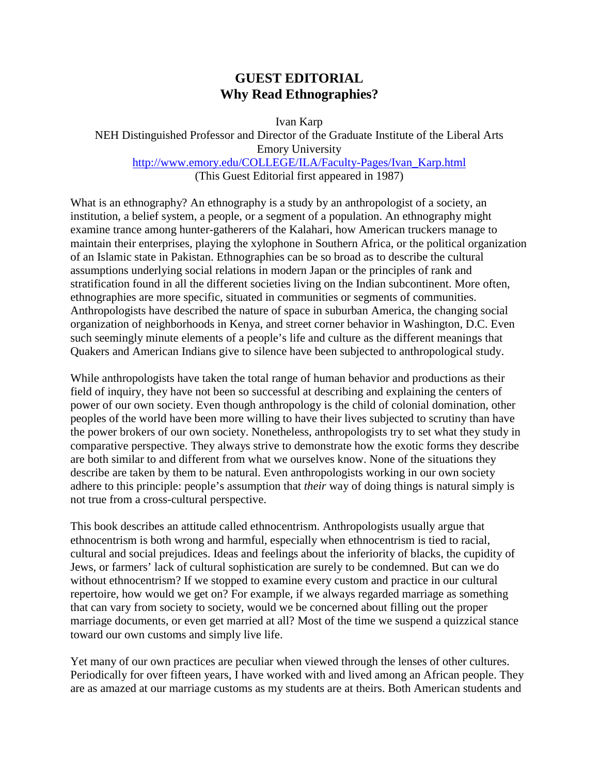## **GUEST EDITORIAL Why Read Ethnographies?**

Ivan Karp

NEH Distinguished Professor and Director of the Graduate Institute of the Liberal Arts Emory University http://www.emory.edu/COLLEGE/ILA/Faculty-Pages/Ivan\_Karp.html (This Guest Editorial first appeared in 1987)

What is an ethnography? An ethnography is a study by an anthropologist of a society, an institution, a belief system, a people, or a segment of a population. An ethnography might examine trance among hunter-gatherers of the Kalahari, how American truckers manage to maintain their enterprises, playing the xylophone in Southern Africa, or the political organization of an Islamic state in Pakistan. Ethnographies can be so broad as to describe the cultural assumptions underlying social relations in modern Japan or the principles of rank and stratification found in all the different societies living on the Indian subcontinent. More often, ethnographies are more specific, situated in communities or segments of communities. Anthropologists have described the nature of space in suburban America, the changing social organization of neighborhoods in Kenya, and street corner behavior in Washington, D.C. Even such seemingly minute elements of a people's life and culture as the different meanings that Quakers and American Indians give to silence have been subjected to anthropological study.

While anthropologists have taken the total range of human behavior and productions as their field of inquiry, they have not been so successful at describing and explaining the centers of power of our own society. Even though anthropology is the child of colonial domination, other peoples of the world have been more willing to have their lives subjected to scrutiny than have the power brokers of our own society. Nonetheless, anthropologists try to set what they study in comparative perspective. They always strive to demonstrate how the exotic forms they describe are both similar to and different from what we ourselves know. None of the situations they describe are taken by them to be natural. Even anthropologists working in our own society adhere to this principle: people's assumption that *their* way of doing things is natural simply is not true from a cross-cultural perspective.

This book describes an attitude called ethnocentrism. Anthropologists usually argue that ethnocentrism is both wrong and harmful, especially when ethnocentrism is tied to racial, cultural and social prejudices. Ideas and feelings about the inferiority of blacks, the cupidity of Jews, or farmers' lack of cultural sophistication are surely to be condemned. But can we do without ethnocentrism? If we stopped to examine every custom and practice in our cultural repertoire, how would we get on? For example, if we always regarded marriage as something that can vary from society to society, would we be concerned about filling out the proper marriage documents, or even get married at all? Most of the time we suspend a quizzical stance toward our own customs and simply live life.

Yet many of our own practices are peculiar when viewed through the lenses of other cultures. Periodically for over fifteen years, I have worked with and lived among an African people. They are as amazed at our marriage customs as my students are at theirs. Both American students and